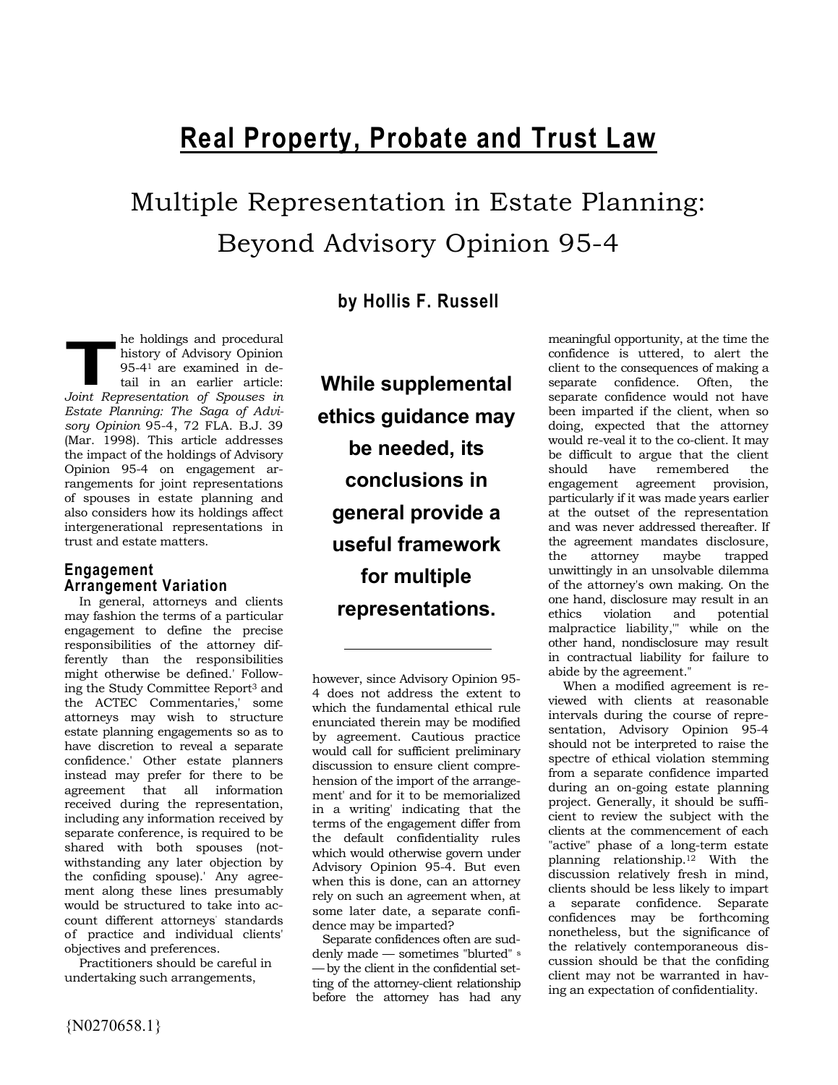# **Real Property, Probate and Trust Law**

Multiple Representation in Estate Planning: Beyond Advisory Opinion 95-4

**by Hollis F. Russell** 

he holdings and procedural history of Advisory Opinion 95-41 are examined in detail in an earlier article: **1997** *Phe holdings and procedural history of Advisory Opinion 95-41 are examined in detail in an earlier article: Joint Representation of Spouses in Estate Planning: The Saga of Advisory Opinion* 95-4, 72 FLA. B.J. 39 (Mar. 1998). This article addresses the impact of the holdings of Advisory Opinion 95-4 on engagement arrangements for joint representations of spouses in estate planning and also considers how its holdings affect intergenerational representations in trust and estate matters.

#### **Engagement Arrangement Variation**

In general, attorneys and clients may fashion the terms of a particular engagement to define the precise responsibilities of the attorney differently than the responsibilities might otherwise be defined.' Following the Study Committee Report3 and the ACTEC Commentaries,' some attorneys may wish to structure estate planning engagements so as to have discretion to reveal a separate confidence.' Other estate planners instead may prefer for there to be agreement that all information received during the representation, including any information received by separate conference, is required to be shared with both spouses (notwithstanding any later objection by the confiding spouse).' Any agreement along these lines presumably would be structured to take into account different attorneys' standards of practice and individual clients' objectives and preferences.

Practitioners should be careful in undertaking such arrangements,

**While supplemental ethics guidance may be needed, its conclusions in general provide a useful framework for multiple representations.** 

however, since Advisory Opinion 95- 4 does not address the extent to which the fundamental ethical rule enunciated therein may be modified by agreement. Cautious practice would call for sufficient preliminary discussion to ensure client comprehension of the import of the arrangement' and for it to be memorialized in a writing' indicating that the terms of the engagement differ from the default confidentiality rules which would otherwise govern under Advisory Opinion 95-4. But even when this is done, can an attorney rely on such an agreement when, at some later date, a separate confidence may be imparted?

Separate confidences often are suddenly made — sometimes "blurted" <sup>s</sup> —by the client in the confidential setting of the attorney-client relationship before the attorney has had any meaningful opportunity, at the time the confidence is uttered, to alert the client to the consequences of making a separate confidence. Often, the separate confidence would not have been imparted if the client, when so doing, expected that the attorney would re-veal it to the co-client. It may be difficult to argue that the client should have remembered the engagement agreement provision, particularly if it was made years earlier at the outset of the representation and was never addressed thereafter. If the agreement mandates disclosure, the attorney maybe trapped unwittingly in an unsolvable dilemma of the attorney's own making. On the one hand, disclosure may result in an ethics violation and potential ethics violation and potential malpractice liability,'" while on the other hand, nondisclosure may result in contractual liability for failure to abide by the agreement."

When a modified agreement is reviewed with clients at reasonable intervals during the course of representation, Advisory Opinion 95-4 should not be interpreted to raise the spectre of ethical violation stemming from a separate confidence imparted during an on-going estate planning project. Generally, it should be sufficient to review the subject with the clients at the commencement of each "active" phase of a long-term estate planning relationship.12 With the discussion relatively fresh in mind, clients should be less likely to impart a separate confidence. Separate confidences may be forthcoming nonetheless, but the significance of the relatively contemporaneous discussion should be that the confiding client may not be warranted in having an expectation of confidentiality.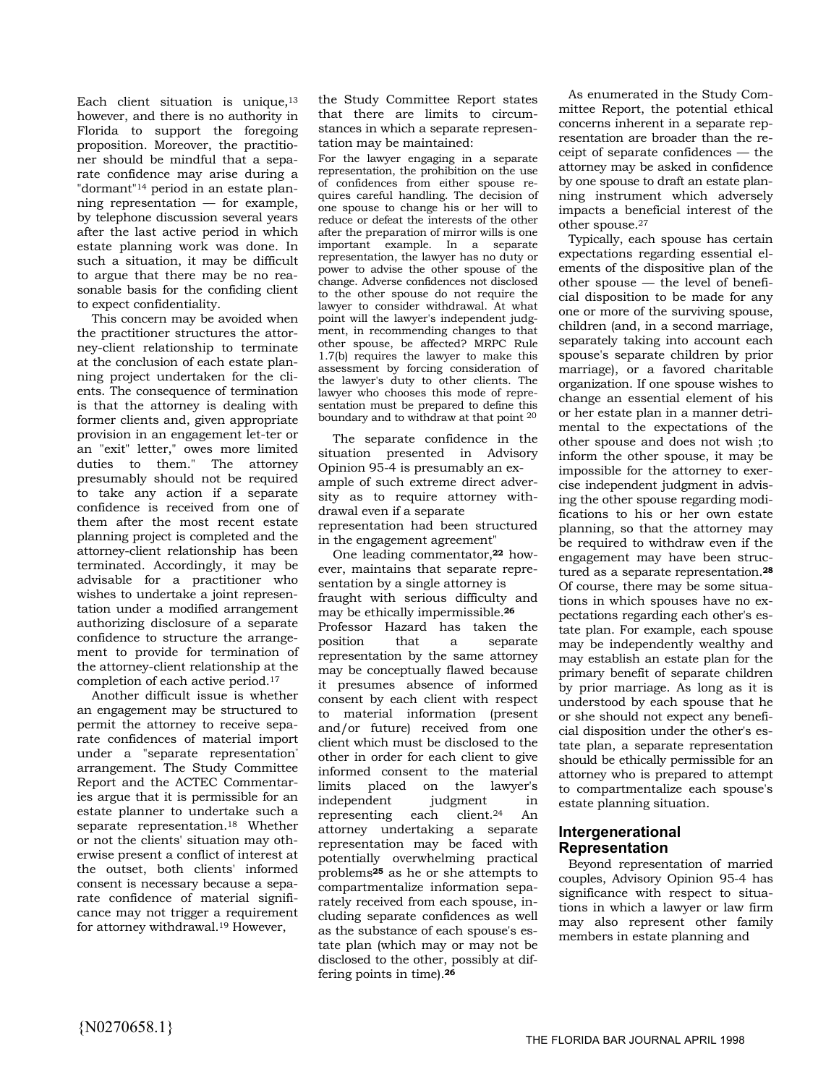Each client situation is unique,<sup>13</sup> however, and there is no authority in Florida to support the foregoing proposition. Moreover, the practitioner should be mindful that a separate confidence may arise during a "dormant"14 period in an estate planning representation — for example, by telephone discussion several years after the last active period in which estate planning work was done. In such a situation, it may be difficult to argue that there may be no reasonable basis for the confiding client to expect confidentiality.

This concern may be avoided when the practitioner structures the attorney-client relationship to terminate at the conclusion of each estate planning project undertaken for the clients. The consequence of termination is that the attorney is dealing with former clients and, given appropriate provision in an engagement let-ter or an "exit" letter," owes more limited duties to them." The attorney presumably should not be required to take any action if a separate confidence is received from one of them after the most recent estate planning project is completed and the attorney-client relationship has been terminated. Accordingly, it may be advisable for a practitioner who wishes to undertake a joint representation under a modified arrangement authorizing disclosure of a separate confidence to structure the arrangement to provide for termination of the attorney-client relationship at the completion of each active period.<sup>17</sup>

Another difficult issue is whether an engagement may be structured to permit the attorney to receive separate confidences of material import under a "separate representation" arrangement. The Study Committee Report and the ACTEC Commentaries argue that it is permissible for an estate planner to undertake such a separate representation.18 Whether or not the clients' situation may otherwise present a conflict of interest at the outset, both clients' informed consent is necessary because a separate confidence of material significance may not trigger a requirement for attorney withdrawal.19 However,

the Study Committee Report states that there are limits to circumstances in which a separate representation may be maintained:

For the lawyer engaging in a separate representation, the prohibition on the use of confidences from either spouse requires careful handling. The decision of one spouse to change his or her will to reduce or defeat the interests of the other after the preparation of mirror wills is one important example. In a separate representation, the lawyer has no duty or power to advise the other spouse of the change. Adverse confidences not disclosed to the other spouse do not require the lawyer to consider withdrawal. At what point will the lawyer's independent judgment, in recommending changes to that other spouse, be affected? MRPC Rule 1.7(b) requires the lawyer to make this assessment by forcing consideration of the lawyer's duty to other clients. The lawyer who chooses this mode of representation must be prepared to define this boundary and to withdraw at that point 20

The separate confidence in the situation presented in Advisory Opinion 95-4 is presumably an example of such extreme direct adversity as to require attorney withdrawal even if a separate representation had been structured in the engagement agreement"

One leading commentator,**22** however, maintains that separate representation by a single attorney is fraught with serious difficulty and may be ethically impermissible.**<sup>26</sup>** Professor Hazard has taken the position that a separate representation by the same attorney may be conceptually flawed because it presumes absence of informed consent by each client with respect to material information (present and/or future) received from one client which must be disclosed to the other in order for each client to give informed consent to the material limits placed on the lawyer's independent judgment in representing each client.24 An attorney undertaking a separate representation may be faced with potentially overwhelming practical problems**25** as he or she attempts to compartmentalize information separately received from each spouse, including separate confidences as well as the substance of each spouse's estate plan (which may or may not be disclosed to the other, possibly at differing points in time).**<sup>26</sup>**

As enumerated in the Study Committee Report, the potential ethical concerns inherent in a separate representation are broader than the receipt of separate confidences — the attorney may be asked in confidence by one spouse to draft an estate planning instrument which adversely impacts a beneficial interest of the other spouse.<sup>27</sup>

Typically, each spouse has certain expectations regarding essential elements of the dispositive plan of the other spouse — the level of beneficial disposition to be made for any one or more of the surviving spouse, children (and, in a second marriage, separately taking into account each spouse's separate children by prior marriage), or a favored charitable organization. If one spouse wishes to change an essential element of his or her estate plan in a manner detrimental to the expectations of the other spouse and does not wish ;to inform the other spouse, it may be impossible for the attorney to exercise independent judgment in advising the other spouse regarding modifications to his or her own estate planning, so that the attorney may be required to withdraw even if the engagement may have been structured as a separate representation.**<sup>28</sup>** Of course, there may be some situations in which spouses have no expectations regarding each other's estate plan. For example, each spouse may be independently wealthy and may establish an estate plan for the primary benefit of separate children by prior marriage. As long as it is understood by each spouse that he or she should not expect any beneficial disposition under the other's estate plan, a separate representation should be ethically permissible for an attorney who is prepared to attempt to compartmentalize each spouse's estate planning situation.

#### **Intergenerational Representation**

Beyond representation of married couples, Advisory Opinion 95-4 has significance with respect to situations in which a lawyer or law firm may also represent other family members in estate planning and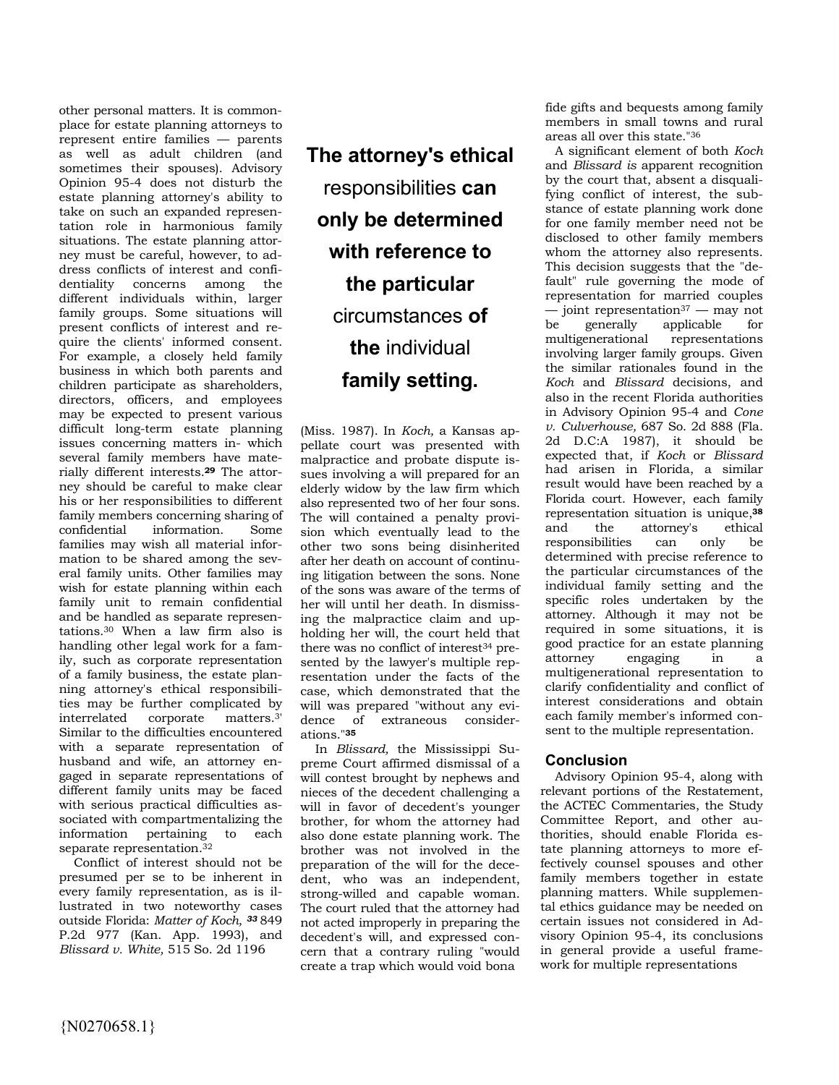other personal matters. It is commonplace for estate planning attorneys to represent entire families — parents as well as adult children (and sometimes their spouses). Advisory Opinion 95-4 does not disturb the estate planning attorney's ability to take on such an expanded representation role in harmonious family situations. The estate planning attorney must be careful, however, to address conflicts of interest and confidentiality concerns among the different individuals within, larger family groups. Some situations will present conflicts of interest and require the clients' informed consent. For example, a closely held family business in which both parents and children participate as shareholders, directors, officers, and employees may be expected to present various difficult long-term estate planning issues concerning matters in- which several family members have materially different interests.**29** The attorney should be careful to make clear his or her responsibilities to different family members concerning sharing of<br>confidential information. Some information. Some families may wish all material information to be shared among the several family units. Other families may wish for estate planning within each family unit to remain confidential and be handled as separate representations.30 When a law firm also is handling other legal work for a family, such as corporate representation of a family business, the estate planning attorney's ethical responsibilities may be further complicated by interrelated corporate matters.3' Similar to the difficulties encountered with a separate representation of husband and wife, an attorney engaged in separate representations of different family units may be faced with serious practical difficulties associated with compartmentalizing the information pertaining to each separate representation.<sup>32</sup>

Conflict of interest should not be presumed per se to be inherent in every family representation, as is illustrated in two noteworthy cases outside Florida: *Matter of Koch, 33* 849 P.2d 977 (Kan. App. 1993), and *Blissard v. White,* 515 So. 2d 1196

## **The attorney's ethical**  responsibilities **can only be determined with reference to the particular**  circumstances **of the** individual **family setting.**

(Miss. 1987). In *Koch,* a Kansas appellate court was presented with malpractice and probate dispute issues involving a will prepared for an elderly widow by the law firm which also represented two of her four sons. The will contained a penalty provision which eventually lead to the other two sons being disinherited after her death on account of continuing litigation between the sons. None of the sons was aware of the terms of her will until her death. In dismissing the malpractice claim and upholding her will, the court held that there was no conflict of interest<sup>34</sup> presented by the lawyer's multiple representation under the facts of the case, which demonstrated that the will was prepared "without any evidence of extraneous considerations."**<sup>35</sup>**

In *Blissard,* the Mississippi Supreme Court affirmed dismissal of a will contest brought by nephews and nieces of the decedent challenging a will in favor of decedent's younger brother, for whom the attorney had also done estate planning work. The brother was not involved in the preparation of the will for the decedent, who was an independent, strong-willed and capable woman. The court ruled that the attorney had not acted improperly in preparing the decedent's will, and expressed concern that a contrary ruling "would create a trap which would void bona

fide gifts and bequests among family members in small towns and rural areas all over this state."<sup>36</sup>

A significant element of both *Koch*  and *Blissard is* apparent recognition by the court that, absent a disqualifying conflict of interest, the substance of estate planning work done for one family member need not be disclosed to other family members whom the attorney also represents. This decision suggests that the "default" rule governing the mode of representation for married couples  $-$  joint representation<sup>37</sup> — may not be generally applicable for multigenerational representations involving larger family groups. Given the similar rationales found in the *Koch* and *Blissard* decisions, and also in the recent Florida authorities in Advisory Opinion 95-4 and *Cone v. Culverhouse,* 687 So. 2d 888 (Fla. 2d D.C:A 1987), it should be expected that, if *Koch* or *Blissard*  had arisen in Florida, a similar result would have been reached by a Florida court. However, each family representation situation is unique,**<sup>38</sup>** and the attorney's ethical responsibilities can only be determined with precise reference to the particular circumstances of the individual family setting and the specific roles undertaken by the attorney. Although it may not be required in some situations, it is good practice for an estate planning attorney engaging in a multigenerational representation to clarify confidentiality and conflict of interest considerations and obtain each family member's informed consent to the multiple representation.

### **Conclusion**

Advisory Opinion 95-4, along with relevant portions of the Restatement, the ACTEC Commentaries, the Study Committee Report, and other authorities, should enable Florida estate planning attorneys to more effectively counsel spouses and other family members together in estate planning matters. While supplemental ethics guidance may be needed on certain issues not considered in Advisory Opinion 95-4, its conclusions in general provide a useful framework for multiple representations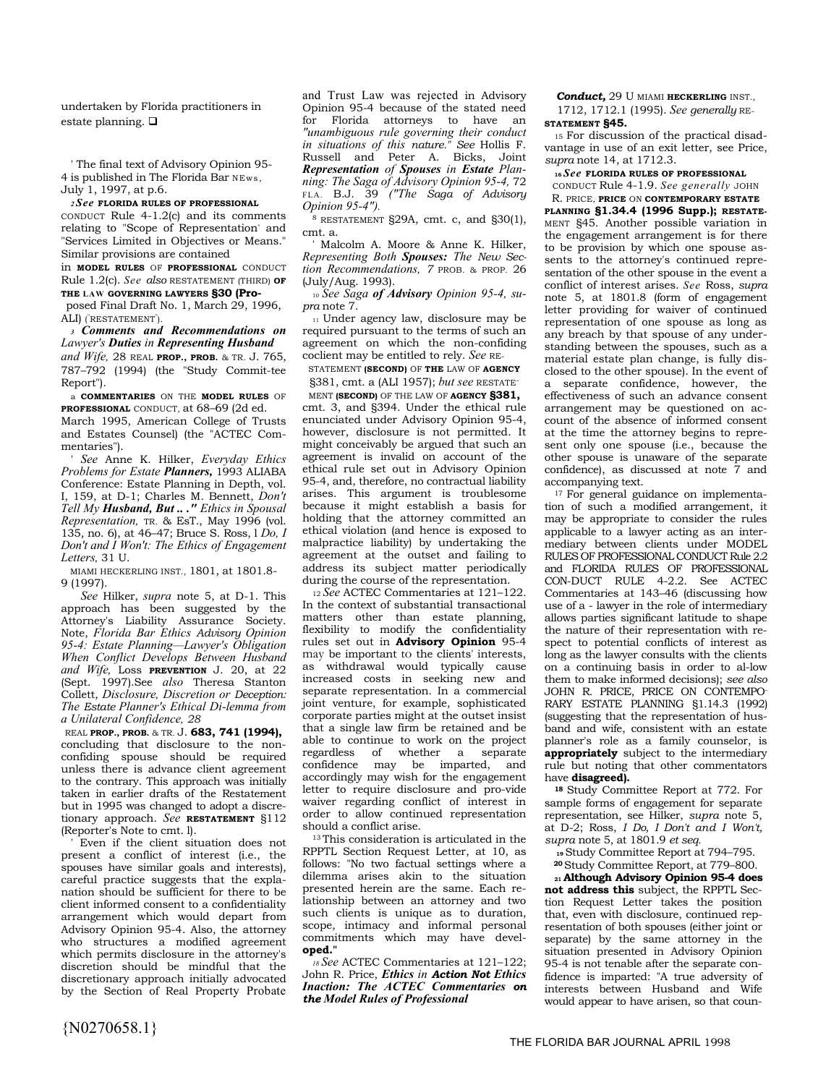undertaken by Florida practitioners in estate planning.  $\square$ 

' The final text of Advisory Opinion 95- 4 is published in The Florida Bar NEws, July 1, 1997, at p.6.

*<sup>2</sup>See* **FLORIDA RULES OF PROFESSIONAL**  CONDUCT Rule 4-1.2(c) and its comments relating to "Scope of Representation" and "Services Limited in Objectives or Means." Similar provisions are contained

in **MODEL RULES** OF **PROFESSIONAL** CONDUCT Rule 1.2(c). *See also* RESTATEMENT (THIRD) **OF THE LAW GOVERNING LAWYERS §30 (Pro-**

posed Final Draft No. 1, March 29, 1996, ALI) ( "RESTATEMENT" ).

*<sup>3</sup>Comments and Recommendations on Lawyer's Duties in Representing Husband and Wife,* 28 REAL **PROP., PROB.** & TR. J. 765, 787–792 (1994) (the "Study Commit-tee Report").

a **COMMENTARIES** ON THE **MODEL RULES** OF **PROFESSIONAL** CONDUCT, at 68–69 (2d ed. March 1995, American College of Trusts and Estates Counsel) (the "ACTEC Com-

mentaries"). ' *See* Anne K. Hilker, *Everyday Ethics Problems for Estate Planners,* 1993 ALIABA Conference: Estate Planning in Depth, vol. I, 159, at D-1; Charles M. Bennett, *Don't Tell My Husband, But .. ." Ethics in Spousal* 

*Representation,* TR. & EsT., May 1996 (vol. 135, no. 6), at 46–47; Bruce S. Ross, l *Do, I Don't and I Won't: The Ethics of Engagement Letters,* 31 U.

MIAMI HECKERLING INST., 1801, at 1801.8- 9 (1997).

*See* Hilker, *supra* note 5, at D-1. This approach has been suggested by the Attorney's Liability Assurance Society. Note, *Florida Bar Ethics Advisory Opinion 95-4: Estate Planning—Lawyer's Obligation When Conflict Develops Between Husband and Wife,* Loss **PREVENTION** J. 20, at 22 (Sept. 1997).See *also* Theresa Stanton Collett, *Disclosure, Discretion or Deception: The Estate Planner's Ethical Di-lemma from a Unilateral Confidence, 28* 

REAL **PROP., PROB.** & TR. J. **683, 741 (1994),**  concluding that disclosure to the nonconfiding spouse should be required unless there is advance client agreement to the contrary. This approach was initially taken in earlier drafts of the Restatement but in 1995 was changed to adopt a discretionary approach. *See* **RESTATEMENT** §112 (Reporter's Note to cmt. l).

Even if the client situation does not present a conflict of interest (i.e., the spouses have similar goals and interests), careful practice suggests that the explanation should be sufficient for there to be client informed consent to a confidentiality arrangement which would depart from Advisory Opinion 95-4. Also, the attorney who structures a modified agreement which permits disclosure in the attorney's discretion should be mindful that the discretionary approach initially advocated by the Section of Real Property Probate

and Trust Law was rejected in Advisory Opinion 95-4 because of the stated need for Florida attorneys to have an *"unambiguous rule governing their conduct in situations of this nature." See* Hollis F. Russell and Peter A. Bicks, Joint *Representation of Spouses in Estate Planning: The Saga of Advisory Opinion 95-4,* 72 FLA. B.J. 39 *("The Saga of Advisory Opinion 95-4").* 

 $8$  RESTATEMENT §29A, cmt. c, and §30(1), cmt. a.

' Malcolm A. Moore & Anne K. Hilker, *Representing Both Spouses: The New Section Recommendations, 7* PROB. & PROP. 26 (July/Aug. 1993).

10 *See Saga of Advisory Opinion 95-4, supra* note 7.

<sup>11</sup>Under agency law, disclosure may be required pursuant to the terms of such an agreement on which the non-confiding coclient may be entitled to rely. *See* RE-

STATEMENT **(SECOND)** OF **THE** LAW OF **AGENCY**  §381, cmt. a (ALI 1957); *but see* RESTATE-

MENT **(SECOND)** OF THE LAW OF **AGENCY §381,**  cmt. 3, and §394. Under the ethical rule enunciated under Advisory Opinion 95-4, however, disclosure is not permitted. It might conceivably be argued that such an agreement is invalid on account of the ethical rule set out in Advisory Opinion 95-4, and, therefore, no contractual liability arises. This argument is troublesome because it might establish a basis for holding that the attorney committed an ethical violation (and hence is exposed to malpractice liability) by undertaking the agreement at the outset and failing to address its subject matter periodically during the course of the representation.

<sup>12</sup>*See* ACTEC Commentaries at 121–122. In the context of substantial transactional matters other than estate planning, flexibility to modify the confidentiality rules set out in **Advisory Opinion** 95-4 may be important to the clients' interests, as withdrawal would typically cause increased costs in seeking new and separate representation. In a commercial joint venture, for example, sophisticated corporate parties might at the outset insist that a single law firm be retained and be able to continue to work on the project regardless of whether a separate confidence may be imparted, and accordingly may wish for the engagement letter to require disclosure and pro-vide waiver regarding conflict of interest in order to allow continued representation should a conflict arise.

<sup>13</sup>This consideration is articulated in the RPPTL Section Request Letter, at 10, as follows: "No two factual settings where a dilemma arises akin to the situation presented herein are the same. Each relationship between an attorney and two such clients is unique as to duration, scope, intimacy and informal personal commitments which may have devel**oped."** 

*<sup>18</sup>See* ACTEC Commentaries at 121–122; John R. Price, *Ethics in Action Not Ethics Inaction: The ACTEC Commentaries on the Model Rules of Professional* 

*Conduct,* 29 U MIAMI **HECKERLING** INST.,

1712, 1712.1 (1995). *See generally* RE-**STATEMENT §45.** 

15 For discussion of the practical disadvantage in use of an exit letter, see Price, *supra* note 14, at 1712.3.

**<sup>16</sup>***See* **FLORIDA RULES OF PROFESSIONAL** 

CONDUCT Rule 4-1.9. *See generally* JOHN

R. PRICE, **PRICE** ON **CONTEMPORARY ESTATE PLANNING §1.34.4 (1996 Supp.); RESTATE-**MENT §45. Another possible variation in the engagement arrangement is for there to be provision by which one spouse assents to the attorney's continued representation of the other spouse in the event a conflict of interest arises. *See* Ross, *supra*  note 5, at 1801.8 (form of engagement letter providing for waiver of continued representation of one spouse as long as any breach by that spouse of any understanding between the spouses, such as a material estate plan change, is fully disclosed to the other spouse). In the event of a separate confidence, however, the effectiveness of such an advance consent arrangement may be questioned on account of the absence of informed consent at the time the attorney begins to represent only one spouse (i.e., because the other spouse is unaware of the separate confidence), as discussed at note 7 and accompanying text.

<sup>17</sup> For general guidance on implementation of such a modified arrangement, it may be appropriate to consider the rules applicable to a lawyer acting as an intermediary between clients under MODEL RULES OF PROFESSIONAL CONDUCT Rule 2.2 and FLORIDA RULES OF PROFESSIONAL CON-DUCT RULE 4-2.2. See ACTEC Commentaries at 143–46 (discussing how use of a - lawyer in the role of intermediary allows parties significant latitude to shape the nature of their representation with respect to potential conflicts of interest as long as the lawyer consults with the clients on a continuing basis in order to al-low them to make informed decisions); *see also*  JOHN R. PRICE, PRICE ON CONTEMPO-RARY ESTATE PLANNING §1.14.3 (1992) (suggesting that the representation of husband and wife, consistent with an estate planner's role as a family counselor, is **appropriately** subject to the intermediary rule but noting that other commentators have **disagreed).** 

**<sup>18</sup>**Study Committee Report at 772. For sample forms of engagement for separate representation, see Hilker, *supra* note 5, at D-2; Ross, *I Do, I Don't and I Won't, supra* note 5, at 1801.9 *et seq.* 

**<sup>19</sup>**Study Committee Report at 794–795.

**<sup>20</sup>**Study Committee Report, at 779–800. **<sup>21</sup>Although Advisory Opinion 95-4 does** 

**not address this** subject, the RPPTL Section Request Letter takes the position that, even with disclosure, continued representation of both spouses (either joint or separate) by the same attorney in the situation presented in Advisory Opinion 95-4 is not tenable after the separate confidence is imparted: "A true adversity of interests between Husband and Wife would appear to have arisen, so that coun-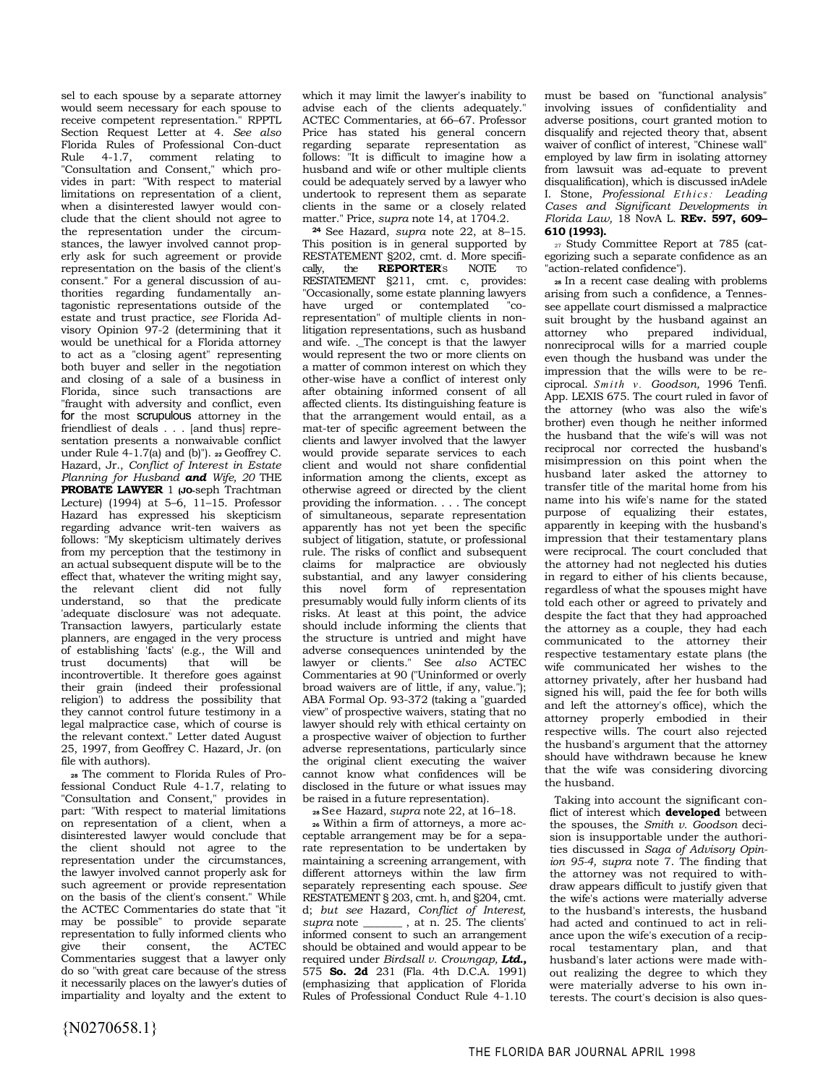sel to each spouse by a separate attorney would seem necessary for each spouse to receive competent representation." RPPTL Section Request Letter at 4. *See also*  Florida Rules of Professional Con-duct Rule 4-1.7, comment relating to "Consultation and Consent," which provides in part: "With respect to material limitations on representation of a client, when a disinterested lawyer would conclude that the client should not agree to the representation under the circumstances, the lawyer involved cannot properly ask for such agreement or provide representation on the basis of the client's consent." For a general discussion of authorities regarding fundamentally antagonistic representations outside of the estate and trust practice, *see* Florida Advisory Opinion 97-2 (determining that it would be unethical for a Florida attorney to act as a "closing agent" representing both buyer and seller in the negotiation and closing of a sale of a business in Florida, since such transactions are "fraught with adversity and conflict, even for the most scrupulous attorney in the friendliest of deals . . . [and thus] representation presents a nonwaivable conflict under Rule 4-1.7(a) and (b)"). **22** Geoffrey C. Hazard, Jr., *Conflict of Interest in Estate Planning for Husband and Wife, 20* THE **PROBATE LAWYER** 1 **(JO-**seph Trachtman Lecture) (1994) at 5–6, 11–15. Professor Hazard has expressed his skepticism regarding advance writ-ten waivers as follows: "My skepticism ultimately derives from my perception that the testimony in an actual subsequent dispute will be to the effect that, whatever the writing might say, the relevant client did not fully understand, so that the predicate 'adequate disclosure' was not adequate. Transaction lawyers, particularly estate planners, are engaged in the very process of establishing 'facts' (e.g., the Will and trust documents) that will be incontrovertible. It therefore goes against their grain (indeed their professional religion') to address the possibility that they cannot control future testimony in a legal malpractice case, which of course is the relevant context." Letter dated August 25, 1997, from Geoffrey C. Hazard, Jr. (on file with authors).

**28** The comment to Florida Rules of Professional Conduct Rule 4-1.7, relating to "Consultation and Consent," provides in part: "With respect to material limitations on representation of a client, when a disinterested lawyer would conclude that the client should not agree to the representation under the circumstances, the lawyer involved cannot properly ask for such agreement or provide representation on the basis of the client's consent." While the ACTEC Commentaries do state that "it may be possible" to provide separate representation to fully informed clients who<br>give their consent, the ACTEC give their consent, Commentaries suggest that a lawyer only do so "with great care because of the stress it necessarily places on the lawyer's duties of impartiality and loyalty and the extent to which it may limit the lawyer's inability to advise each of the clients adequately." ACTEC Commentaries, at 66–67. Professor Price has stated his general concern regarding separate representation as follows: "It is difficult to imagine how a husband and wife or other multiple clients could be adequately served by a lawyer who undertook to represent them as separate clients in the same or a closely related matter." Price, *supra* note 14, at 1704.2.

**<sup>24</sup>**See Hazard, *supra* note 22, at 8–15. This position is in general supported by RESTATEMENT §202, cmt. d. More specifi-<br>cally. the **REPORTER**'s NOTE TO **REPORTER'S** RESTATEMENT §211, cmt. c, provides: "Occasionally, some estate planning lawyers have urged or contemplated "corepresentation" of multiple clients in nonlitigation representations, such as husband and wife. .\_The concept is that the lawyer would represent the two or more clients on a matter of common interest on which they other-wise have a conflict of interest only after obtaining informed consent of all affected clients. Its distinguishing feature is that the arrangement would entail, as a mat-ter of specific agreement between the clients and lawyer involved that the lawyer would provide separate services to each client and would not share confidential information among the clients, except as otherwise agreed or directed by the client providing the information. . . . The concept of simultaneous, separate representation apparently has not yet been the specific subject of litigation, statute, or professional rule. The risks of conflict and subsequent claims for malpractice are obviously substantial, and any lawyer considering this novel form of representation presumably would fully inform clients of its risks. At least at this point, the advice should include informing the clients that the structure is untried and might have adverse consequences unintended by the lawyer or clients." See *also* ACTEC Commentaries at 90 ("Uninformed or overly broad waivers are of little, if any, value."); ABA Formal Op. 93-372 (taking a "guarded view" of prospective waivers, stating that no lawyer should rely with ethical certainty on a prospective waiver of objection to further adverse representations, particularly since the original client executing the waiver cannot know what confidences will be disclosed in the future or what issues may be raised in a future representation).

**<sup>28</sup>**See Hazard, *supra* note 22, at 16–18.

**26** Within a firm of attorneys, a more acceptable arrangement may be for a separate representation to be undertaken by maintaining a screening arrangement, with different attorneys within the law firm separately representing each spouse. *See*  RESTATEMENT § 203, cmt. h, and §204, cmt. d; *but see* Hazard, *Conflict of Interest, supra* note \_\_\_\_\_\_\_ , at n. 25. The clients' informed consent to such an arrangement should be obtained and would appear to be required under *Birdsall v. Crowngap, Ltd.,*  575 **So. 2d** 231 (Fla. 4th D.C.A. 1991) (emphasizing that application of Florida Rules of Professional Conduct Rule 4-1.10 must be based on "functional analysis" involving issues of confidentiality and adverse positions, court granted motion to disqualify and rejected theory that, absent waiver of conflict of interest, "Chinese wall" employed by law firm in isolating attorney from lawsuit was ad-equate to prevent disqualification), which is discussed inAdele I. Stone, *Professional Eth i cs: Leading Cases and Significant Developments in Florida Law,* 18 NovA L. **REv. 597, 609– 610 (1993).** 

27 Study Committee Report at 785 (categorizing such a separate confidence as an "action-related confidence").

**<sup>28</sup>**In a recent case dealing with problems arising from such a confidence, a Tennessee appellate court dismissed a malpractice suit brought by the husband against an attorney who prepared individual, nonreciprocal wills for a married couple even though the husband was under the impression that the wills were to be reciprocal. *S mit h v. Goodson,* 1996 Tenfi. App. LEXIS 675. The court ruled in favor of the attorney (who was also the wife's brother) even though he neither informed the husband that the wife's will was not reciprocal nor corrected the husband's misimpression on this point when the husband later asked the attorney to transfer title of the marital home from his name into his wife's name for the stated purpose of equalizing their estates, apparently in keeping with the husband's impression that their testamentary plans were reciprocal. The court concluded that the attorney had not neglected his duties in regard to either of his clients because, regardless of what the spouses might have told each other or agreed to privately and despite the fact that they had approached the attorney as a couple, they had each communicated to the attorney their respective testamentary estate plans (the wife communicated her wishes to the attorney privately, after her husband had signed his will, paid the fee for both wills and left the attorney's office), which the attorney properly embodied in their respective wills. The court also rejected the husband's argument that the attorney should have withdrawn because he knew that the wife was considering divorcing the husband.

Taking into account the significant conflict of interest which **developed** between the spouses, the *Smith v. Goodson* decision is insupportable under the authorities discussed in *Saga of Advisory Opinion 95-4, supra* note 7. The finding that the attorney was not required to withdraw appears difficult to justify given that the wife's actions were materially adverse to the husband's interests, the husband had acted and continued to act in reliance upon the wife's execution of a reciprocal testamentary plan, and that husband's later actions were made without realizing the degree to which they were materially adverse to his own interests. The court's decision is also ques-